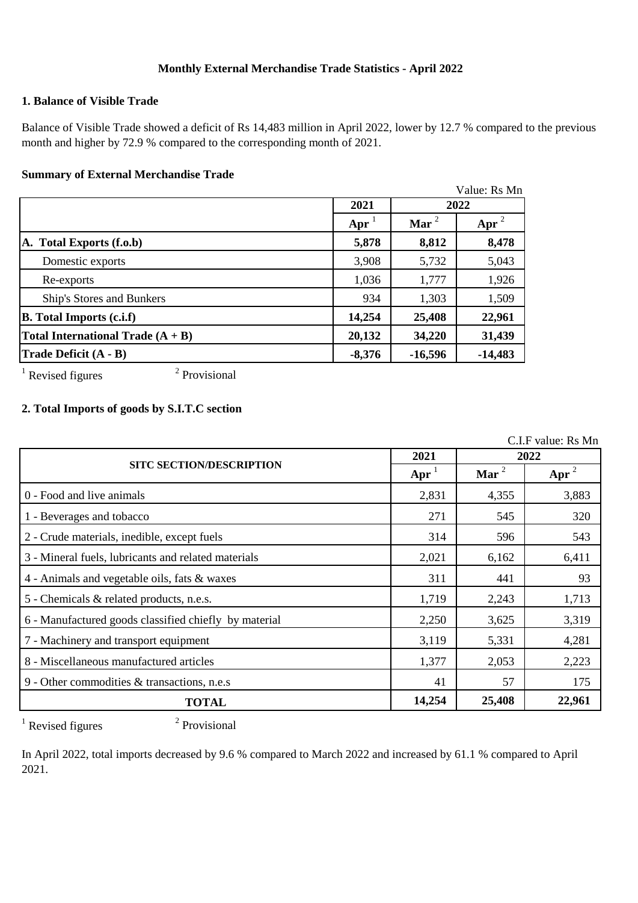# **Monthly External Merchandise Trade Statistics - April 2022**

## **1. Balance of Visible Trade**

Balance of Visible Trade showed a deficit of Rs 14,483 million in April 2022, lower by 12.7 % compared to the previous month and higher by 72.9 % compared to the corresponding month of 2021.

#### **Summary of External Merchandise Trade**

|                                     |                        |           | Value: Rs Mn |  |
|-------------------------------------|------------------------|-----------|--------------|--|
|                                     | 2021                   | 2022      |              |  |
|                                     | $\bf{A} \bf{p} \bf{r}$ | Mar $^2$  | Apr          |  |
| A. Total Exports (f.o.b)            | 5,878                  | 8,812     | 8,478        |  |
| Domestic exports                    | 3,908                  | 5,732     | 5,043        |  |
| Re-exports                          | 1,036                  | 1,777     | 1,926        |  |
| Ship's Stores and Bunkers           | 934                    | 1,303     | 1,509        |  |
| <b>B.</b> Total Imports (c.i.f)     | 14,254                 | 25,408    | 22,961       |  |
| Total International Trade $(A + B)$ | 20,132                 | 34,220    | 31,439       |  |
| Trade Deficit (A - B)               | $-8,376$               | $-16,596$ | $-14,483$    |  |

 $1$  Revised figures

2 Provisional

# **2. Total Imports of goods by S.I.T.C section**

C.I.F value: Rs Mn

|                                                       | 2021              | 2022     |                |
|-------------------------------------------------------|-------------------|----------|----------------|
| <b>SITC SECTION/DESCRIPTION</b>                       | $\text{Apr}^{-1}$ | Mar $^2$ | $\text{Apr}^2$ |
| 0 - Food and live animals                             | 2,831             | 4,355    | 3,883          |
| 1 - Beverages and tobacco                             | 271               | 545      | 320            |
| 2 - Crude materials, inedible, except fuels           | 314               | 596      | 543            |
| 3 - Mineral fuels, lubricants and related materials   | 2,021             | 6,162    | 6,411          |
| 4 - Animals and vegetable oils, fats & waxes          | 311               | 441      | 93             |
| 5 - Chemicals & related products, n.e.s.              | 1,719             | 2,243    | 1,713          |
| 6 - Manufactured goods classified chiefly by material | 2,250             | 3,625    | 3,319          |
| 7 - Machinery and transport equipment                 | 3,119             | 5,331    | 4,281          |
| 8 - Miscellaneous manufactured articles               | 1,377             | 2,053    | 2,223          |
| 9 - Other commodities & transactions, n.e.s           | 41                | 57       | 175            |
| <b>TOTAL</b>                                          | 14,254            | 25,408   | 22,961         |

 $1$  Revised figures

2 Provisional

In April 2022, total imports decreased by 9.6 % compared to March 2022 and increased by 61.1 % compared to April 2021.